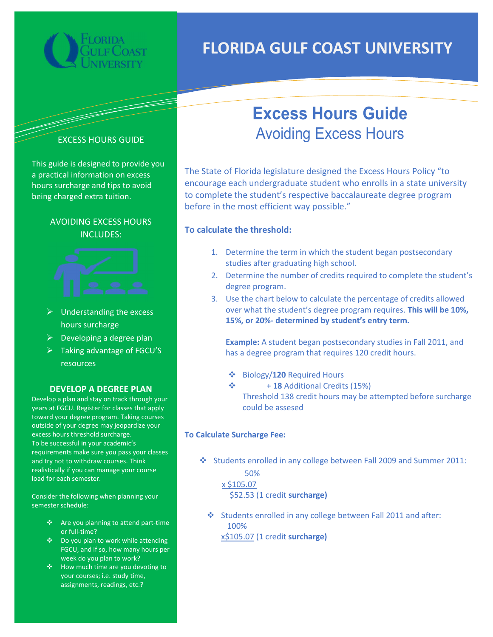

# FLORIDA GULF COAST UNIVERSITY



This guide is designed to provide you a practical information on excess hours surcharge and tips to avoid being charged extra tuition.

## AVOIDING EXCESS HOURS INCLUDES:



- $\triangleright$  Understanding the excess hours surcharge
- $\triangleright$  Developing a degree plan
- Taking advantage of FGCU'S resources

### DEVELOP A DEGREE PLAN

Develop a plan and stay on track through your years at FGCU. Register for classes that apply toward your degree program. Taking courses outside of your degree may jeopardize your excess hours threshold surcharge. To be successful in your academic's requirements make sure you pass your classes and try not to withdraw courses. Think realistically if you can manage your course load for each semester.

Consider the following when planning your semester schedule:

- ❖ Are you planning to attend part-time or full-time?
- ❖ Do you plan to work while attending FGCU, and if so, how many hours per week do you plan to work?
- ❖ How much time are you devoting to your courses; i.e. study time, assignments, readings, etc.?

# Excess Hours Guide Avoiding Excess Hours

The State of Florida legislature designed the Excess Hours Policy "to encourage each undergraduate student who enrolls in a state university to complete the student's respective baccalaureate degree program before in the most efficient way possible."

## To calculate the threshold:

- 1. Determine the term in which the student began postsecondary studies after graduating high school.
- 2. Determine the number of credits required to complete the student's degree program.
- 3. Use the chart below to calculate the percentage of credits allowed over what the student's degree program requires. This will be 10%, 15%, or 20%- determined by student's entry term.

Example: A student began postsecondary studies in Fall 2011, and has a degree program that requires 120 credit hours.

- $\div$  Biology/120 Required Hours
- $\div$  + 18 Additional Credits (15%) Threshold 138 credit hours may be attempted before surcharge could be assesed

#### To Calculate Surcharge Fee:

Students enrolled in any college between Fall 2009 and Summer 2011:

 50% x \$105.07 \$52.53 (1 credit surcharge)

Students enrolled in any college between Fall 2011 and after: 100%

x\$105.07 (1 credit surcharge)